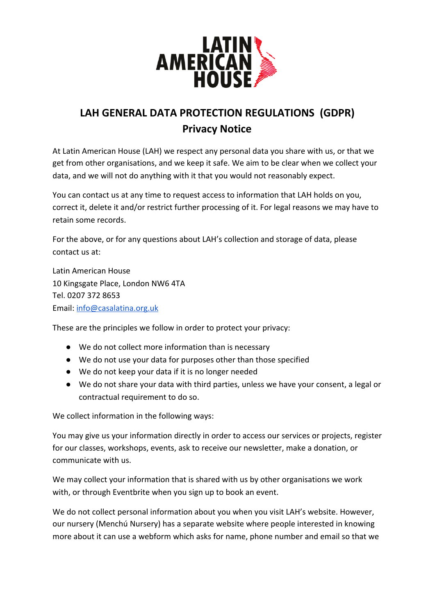

# **LAH GENERAL DATA PROTECTION REGULATIONS (GDPR) Privacy Notice**

At Latin American House (LAH) we respect any personal data you share with us, or that we get from other organisations, and we keep it safe. We aim to be clear when we collect your data, and we will not do anything with it that you would not reasonably expect.

You can contact us at any time to request access to information that LAH holds on you, correct it, delete it and/or restrict further processing of it. For legal reasons we may have to retain some records.

For the above, or for any questions about LAH's collection and storage of data, please contact us at:

Latin American House 10 Kingsgate Place, London NW6 4TA Tel. 0207 372 8653 Email: [info@casalatina.org.uk](mailto:info@casalatina.org.uk)

These are the principles we follow in order to protect your privacy:

- We do not collect more information than is necessary
- We do not use your data for purposes other than those specified
- We do not keep your data if it is no longer needed
- We do not share your data with third parties, unless we have your consent, a legal or contractual requirement to do so.

We collect information in the following ways:

You may give us your information directly in order to access our services or projects, register for our classes, workshops, events, ask to receive our newsletter, make a donation, or communicate with us.

We may collect your information that is shared with us by other organisations we work with, or through Eventbrite when you sign up to book an event.

We do not collect personal information about you when you visit LAH's website. However, our nursery (Menchú Nursery) has a separate website where people interested in knowing more about it can use a webform which asks for name, phone number and email so that we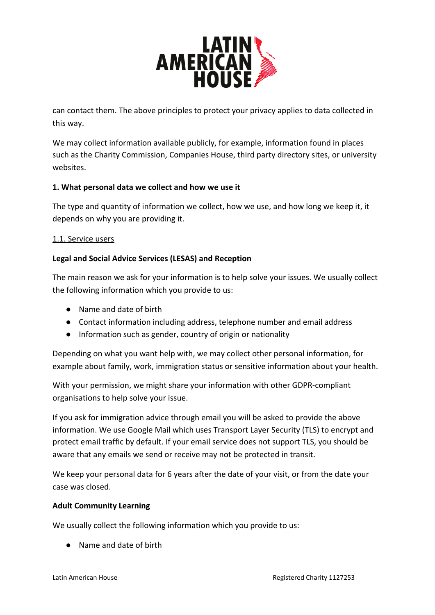

can contact them. The above principles to protect your privacy applies to data collected in this way.

We may collect information available publicly, for example, information found in places such as the Charity Commission, Companies House, third party directory sites, or university websites.

## **1. What personal data we collect and how we use it**

The type and quantity of information we collect, how we use, and how long we keep it, it depends on why you are providing it.

#### 1.1. Service users

## **Legal and Social Advice Services (LESAS) and Reception**

The main reason we ask for your information is to help solve your issues. We usually collect the following information which you provide to us:

- Name and date of birth
- Contact information including address, telephone number and email address
- Information such as gender, country of origin or nationality

Depending on what you want help with, we may collect other personal information, for example about family, work, immigration status or sensitive information about your health.

With your permission, we might share your information with other GDPR-compliant organisations to help solve your issue.

If you ask for immigration advice through email you will be asked to provide the above information. We use Google Mail which uses Transport Layer Security (TLS) to encrypt and protect email traffic by default. If your email service does not support TLS, you should be aware that any emails we send or receive may not be protected in transit.

We keep your personal data for 6 years after the date of your visit, or from the date your case was closed.

#### **Adult Community Learning**

We usually collect the following information which you provide to us:

● Name and date of birth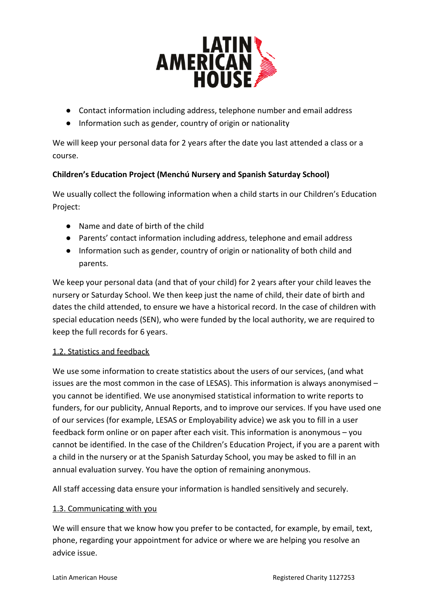

- Contact information including address, telephone number and email address
- Information such as gender, country of origin or nationality

We will keep your personal data for 2 years after the date you last attended a class or a course.

# **Children's Education Project (Menchú Nursery and Spanish Saturday School)**

We usually collect the following information when a child starts in our Children's Education Project:

- Name and date of birth of the child
- Parents' contact information including address, telephone and email address
- Information such as gender, country of origin or nationality of both child and parents.

We keep your personal data (and that of your child) for 2 years after your child leaves the nursery or Saturday School. We then keep just the name of child, their date of birth and dates the child attended, to ensure we have a historical record. In the case of children with special education needs (SEN), who were funded by the local authority, we are required to keep the full records for 6 years.

# 1.2. Statistics and feedback

We use some information to create statistics about the users of our services, (and what issues are the most common in the case of LESAS). This information is always anonymised – you cannot be identified. We use anonymised statistical information to write reports to funders, for our publicity, Annual Reports, and to improve our services. If you have used one of our services (for example, LESAS or Employability advice) we ask you to fill in a user feedback form online or on paper after each visit. This information is anonymous – you cannot be identified. In the case of the Children's Education Project, if you are a parent with a child in the nursery or at the Spanish Saturday School, you may be asked to fill in an annual evaluation survey. You have the option of remaining anonymous.

All staff accessing data ensure your information is handled sensitively and securely.

## 1.3. Communicating with you

We will ensure that we know how you prefer to be contacted, for example, by email, text, phone, regarding your appointment for advice or where we are helping you resolve an advice issue.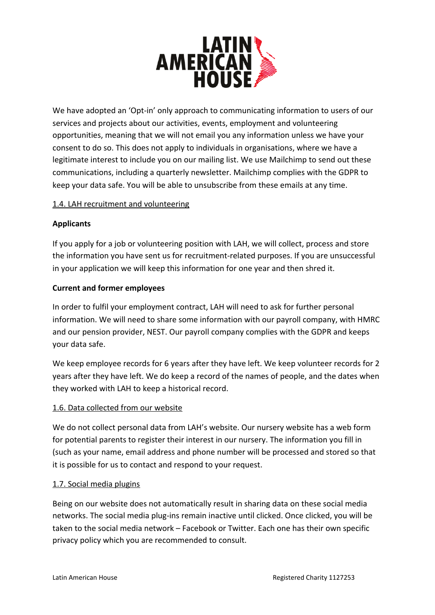

We have adopted an 'Opt-in' only approach to communicating information to users of our services and projects about our activities, events, employment and volunteering opportunities, meaning that we will not email you any information unless we have your consent to do so. This does not apply to individuals in organisations, where we have a legitimate interest to include you on our mailing list. We use Mailchimp to send out these communications, including a quarterly newsletter. Mailchimp complies with the GDPR to keep your data safe. You will be able to unsubscribe from these emails at any time.

#### 1.4. LAH recruitment and volunteering

#### **Applicants**

If you apply for a job or volunteering position with LAH, we will collect, process and store the information you have sent us for recruitment-related purposes. If you are unsuccessful in your application we will keep this information for one year and then shred it.

#### **Current and former employees**

In order to fulfil your employment contract, LAH will need to ask for further personal information. We will need to share some information with our payroll company, with HMRC and our pension provider, NEST. Our payroll company complies with the GDPR and keeps your data safe.

We keep employee records for 6 years after they have left. We keep volunteer records for 2 years after they have left. We do keep a record of the names of people, and the dates when they worked with LAH to keep a historical record.

#### 1.6. Data collected from our website

We do not collect personal data from LAH's website. Our nursery website has a web form for potential parents to register their interest in our nursery. The information you fill in (such as your name, email address and phone number will be processed and stored so that it is possible for us to contact and respond to your request.

## 1.7. Social media plugins

Being on our website does not automatically result in sharing data on these social media networks. The social media plug-ins remain inactive until clicked. Once clicked, you will be taken to the social media network – Facebook or Twitter. Each one has their own specific privacy policy which you are recommended to consult.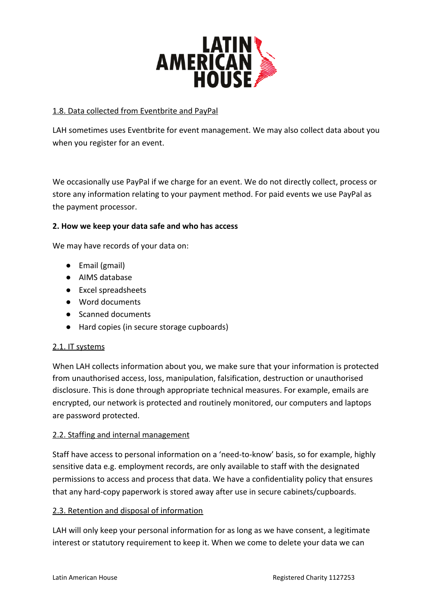

### 1.8. Data collected from Eventbrite and PayPal

LAH sometimes uses Eventbrite for event management. We may also collect data about you when you register for an event.

We occasionally use PayPal if we charge for an event. We do not directly collect, process or store any information relating to your payment method. For paid events we use PayPal as the payment processor.

#### **2. How we keep your data safe and who has access**

We may have records of your data on:

- Email (gmail)
- AIMS database
- Excel spreadsheets
- Word documents
- Scanned documents
- Hard copies (in secure storage cupboards)

#### 2.1. IT systems

When LAH collects information about you, we make sure that your information is protected from unauthorised access, loss, manipulation, falsification, destruction or unauthorised disclosure. This is done through appropriate technical measures. For example, emails are encrypted, our network is protected and routinely monitored, our computers and laptops are password protected.

#### 2.2. Staffing and internal management

Staff have access to personal information on a 'need-to-know' basis, so for example, highly sensitive data e.g. employment records, are only available to staff with the designated permissions to access and process that data. We have a confidentiality policy that ensures that any hard-copy paperwork is stored away after use in secure cabinets/cupboards.

#### 2.3. Retention and disposal of information

LAH will only keep your personal information for as long as we have consent, a legitimate interest or statutory requirement to keep it. When we come to delete your data we can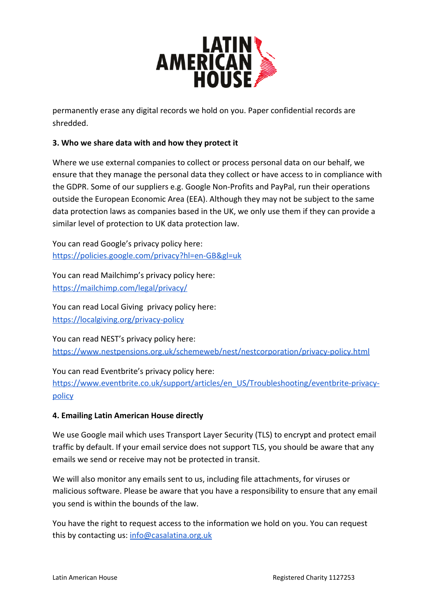

permanently erase any digital records we hold on you. Paper confidential records are shredded.

## **3. Who we share data with and how they protect it**

Where we use external companies to collect or process personal data on our behalf, we ensure that they manage the personal data they collect or have access to in compliance with the GDPR. Some of our suppliers e.g. Google Non-Profits and PayPal, run their operations outside the European Economic Area (EEA). Although they may not be subject to the same data protection laws as companies based in the UK, we only use them if they can provide a similar level of protection to UK data protection law.

You can read Google's privacy policy here: <https://policies.google.com/privacy?hl=en-GB&gl=uk>

You can read Mailchimp's privacy policy here: <https://mailchimp.com/legal/privacy/>

You can read Local Giving privacy policy here: <https://localgiving.org/privacy-policy>

You can read NEST's privacy policy here: <https://www.nestpensions.org.uk/schemeweb/nest/nestcorporation/privacy-policy.html>

You can read Eventbrite's privacy policy here: [https://www.eventbrite.co.uk/support/articles/en\\_US/Troubleshooting/eventbrite-privacy](https://www.eventbrite.co.uk/support/articles/en_US/Troubleshooting/eventbrite-privacy-policy)[policy](https://www.eventbrite.co.uk/support/articles/en_US/Troubleshooting/eventbrite-privacy-policy)

## **4. Emailing Latin American House directly**

We use Google mail which uses Transport Layer Security (TLS) to encrypt and protect email traffic by default. If your email service does not support TLS, you should be aware that any emails we send or receive may not be protected in transit.

We will also monitor any emails sent to us, including file attachments, for viruses or malicious software. Please be aware that you have a responsibility to ensure that any email you send is within the bounds of the law.

You have the right to request access to the information we hold on you. You can request this by contacting us: [info@casalatina.org.uk](mailto:info@casalatina.org.uk)